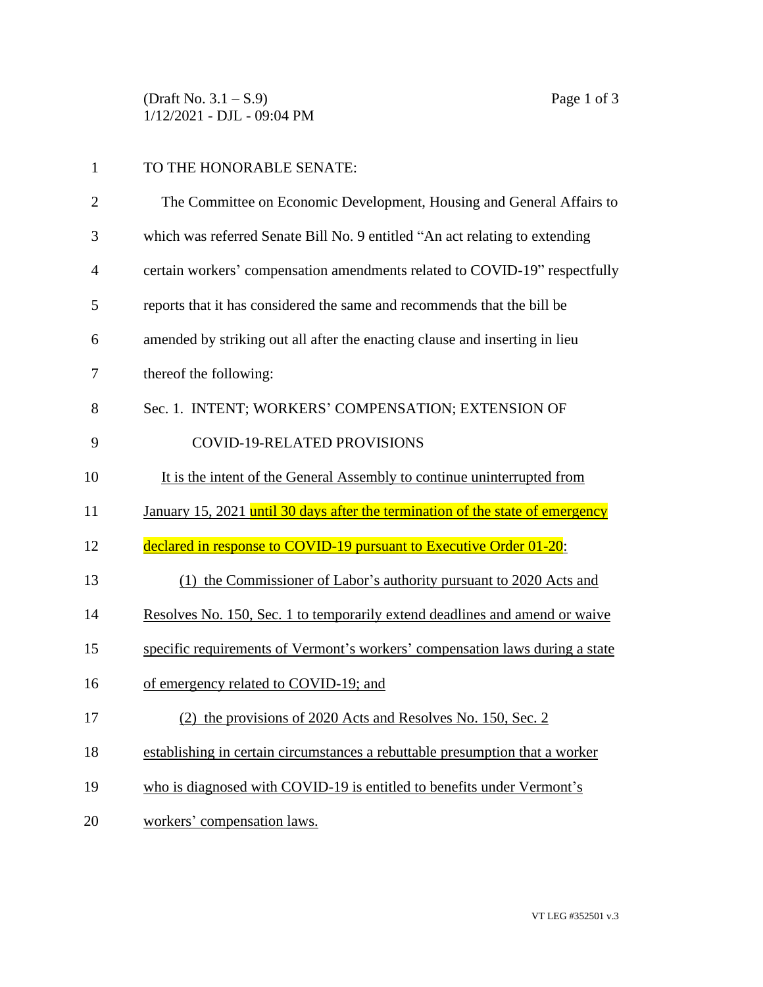(Draft No.  $3.1 - S.9$ ) Page 1 of 3 1/12/2021 - DJL - 09:04 PM

| $\mathbf{1}$   | TO THE HONORABLE SENATE:                                                       |
|----------------|--------------------------------------------------------------------------------|
| $\overline{2}$ | The Committee on Economic Development, Housing and General Affairs to          |
| 3              | which was referred Senate Bill No. 9 entitled "An act relating to extending    |
| 4              | certain workers' compensation amendments related to COVID-19" respectfully     |
| 5              | reports that it has considered the same and recommends that the bill be        |
| 6              | amended by striking out all after the enacting clause and inserting in lieu    |
| 7              | thereof the following:                                                         |
| 8              | Sec. 1. INTENT; WORKERS' COMPENSATION; EXTENSION OF                            |
| 9              | <b>COVID-19-RELATED PROVISIONS</b>                                             |
| 10             | It is the intent of the General Assembly to continue uninterrupted from        |
|                |                                                                                |
| 11             | January 15, 2021 until 30 days after the termination of the state of emergency |
| 12             | declared in response to COVID-19 pursuant to Executive Order 01-20:            |
| 13             | (1) the Commissioner of Labor's authority pursuant to 2020 Acts and            |
| 14             | Resolves No. 150, Sec. 1 to temporarily extend deadlines and amend or waive    |
| 15             | specific requirements of Vermont's workers' compensation laws during a state   |
| 16             | of emergency related to COVID-19; and                                          |
| 17             | the provisions of 2020 Acts and Resolves No. 150, Sec. 2                       |
| 18             | establishing in certain circumstances a rebuttable presumption that a worker   |
| 19             | who is diagnosed with COVID-19 is entitled to benefits under Vermont's         |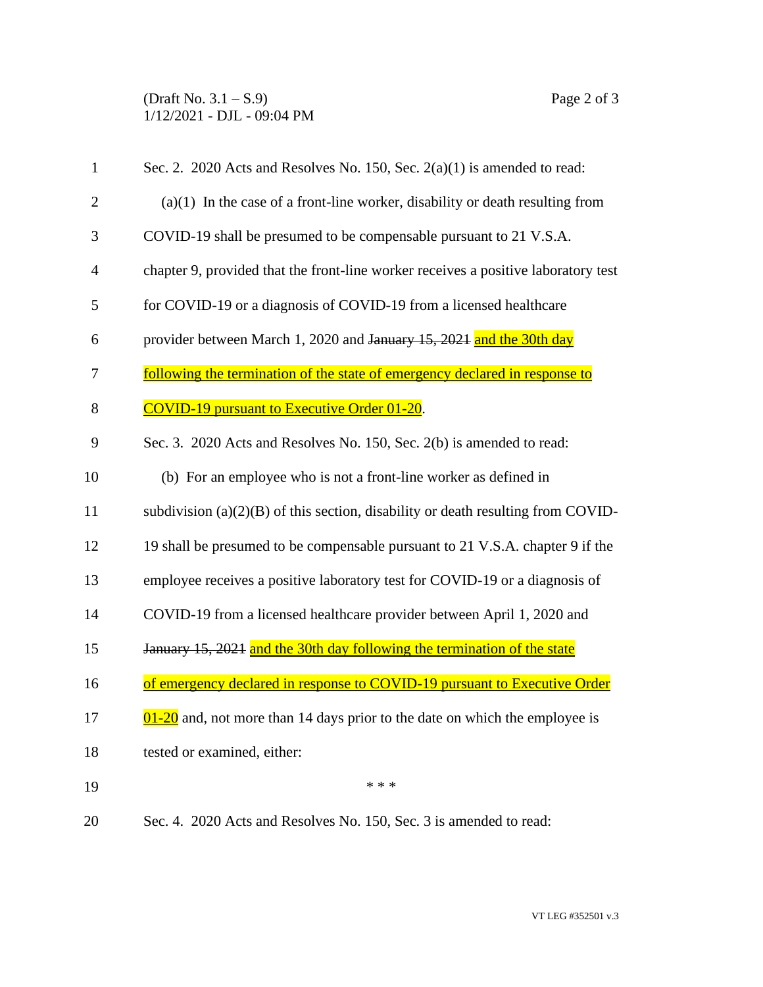## (Draft No.  $3.1 - S.9$ ) Page 2 of 3 1/12/2021 - DJL - 09:04 PM

| $\mathbf{1}$   | Sec. 2. 2020 Acts and Resolves No. 150, Sec. $2(a)(1)$ is amended to read:              |
|----------------|-----------------------------------------------------------------------------------------|
| $\overline{2}$ | $(a)(1)$ In the case of a front-line worker, disability or death resulting from         |
| 3              | COVID-19 shall be presumed to be compensable pursuant to 21 V.S.A.                      |
| $\overline{4}$ | chapter 9, provided that the front-line worker receives a positive laboratory test      |
| 5              | for COVID-19 or a diagnosis of COVID-19 from a licensed healthcare                      |
| 6              | provider between March 1, 2020 and January 15, 2021 and the 30th day                    |
| 7              | <u>following the termination of the state of emergency declared in response to</u>      |
| 8              | <b>COVID-19 pursuant to Executive Order 01-20.</b>                                      |
| 9              | Sec. 3. 2020 Acts and Resolves No. 150, Sec. 2(b) is amended to read:                   |
| 10             | (b) For an employee who is not a front-line worker as defined in                        |
| 11             | subdivision $(a)(2)(B)$ of this section, disability or death resulting from COVID-      |
| 12             | 19 shall be presumed to be compensable pursuant to 21 V.S.A. chapter 9 if the           |
| 13             | employee receives a positive laboratory test for COVID-19 or a diagnosis of             |
| 14             | COVID-19 from a licensed healthcare provider between April 1, 2020 and                  |
| 15             | January 15, 2021 and the 30th day following the termination of the state                |
| 16             | of emergency declared in response to COVID-19 pursuant to Executive Order               |
| 17             | $\frac{01-20}{0}$ and, not more than 14 days prior to the date on which the employee is |
| 18             | tested or examined, either:                                                             |
| 19             | * * *                                                                                   |

20 Sec. 4. 2020 Acts and Resolves No. 150, Sec. 3 is amended to read: